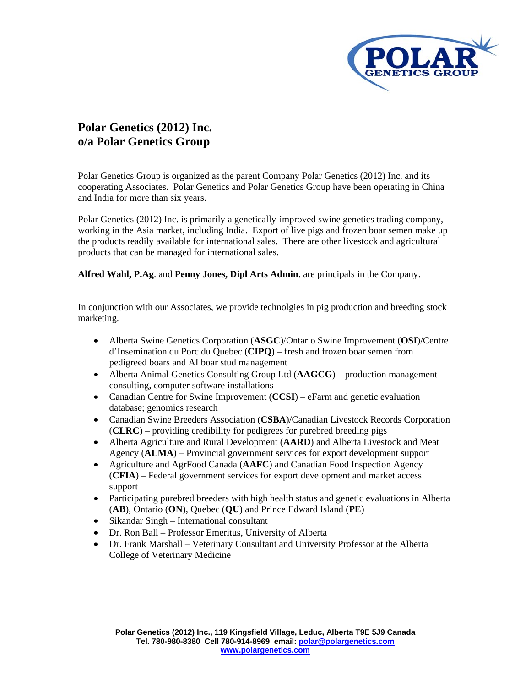

## **Polar Genetics (2012) Inc. o/a Polar Genetics Group**

Polar Genetics Group is organized as the parent Company Polar Genetics (2012) Inc. and its cooperating Associates. Polar Genetics and Polar Genetics Group have been operating in China and India for more than six years.

Polar Genetics (2012) Inc. is primarily a genetically-improved swine genetics trading company, working in the Asia market, including India. Export of live pigs and frozen boar semen make up the products readily available for international sales. There are other livestock and agricultural products that can be managed for international sales.

**Alfred Wahl, P.Ag**. and **Penny Jones, Dipl Arts Admin**. are principals in the Company.

In conjunction with our Associates, we provide technolgies in pig production and breeding stock marketing.

- Alberta Swine Genetics Corporation (**ASGC**)/Ontario Swine Improvement (**OSI**)/Centre d'Insemination du Porc du Quebec (**CIPQ**) – fresh and frozen boar semen from pedigreed boars and AI boar stud management
- Alberta Animal Genetics Consulting Group Ltd (**AAGCG**) production management consulting, computer software installations
- Canadian Centre for Swine Improvement (CCSI) eFarm and genetic evaluation database; genomics research
- Canadian Swine Breeders Association (**CSBA**)/Canadian Livestock Records Corporation (**CLRC**) – providing credibility for pedigrees for purebred breeding pigs
- Alberta Agriculture and Rural Development (**AARD**) and Alberta Livestock and Meat Agency (**ALMA**) – Provincial government services for export development support
- Agriculture and AgrFood Canada (**AAFC**) and Canadian Food Inspection Agency (**CFIA**) – Federal government services for export development and market access support
- Participating purebred breeders with high health status and genetic evaluations in Alberta (**AB**), Ontario (**ON**), Quebec (**QU**) and Prince Edward Island (**PE**)
- Sikandar Singh International consultant
- Dr. Ron Ball Professor Emeritus, University of Alberta
- Dr. Frank Marshall Veterinary Consultant and University Professor at the Alberta College of Veterinary Medicine